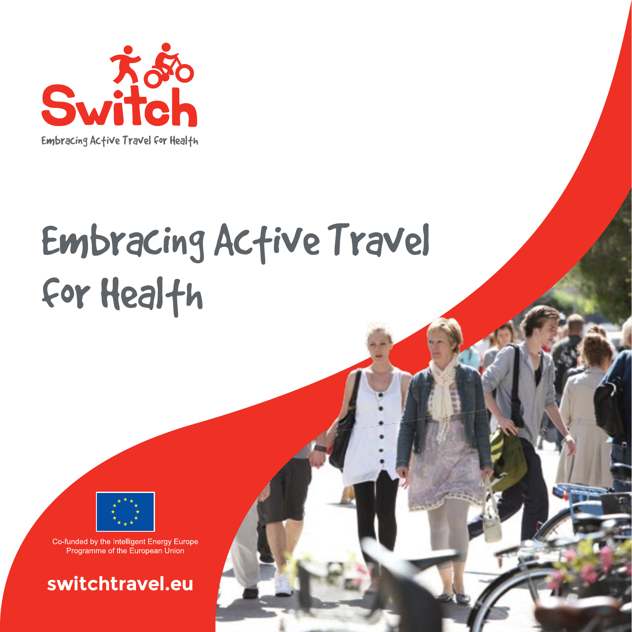

# Embracing Active Travel for Health



Co-funded by the Intelligent Energy Europe Programme of the European Union

**switchtravel.eu**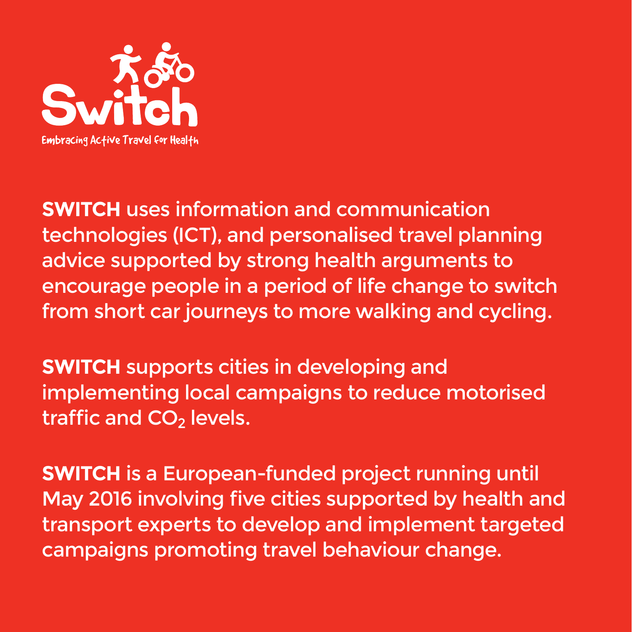

**SWITCH** uses information and communication technologies (ICT), and personalised travel planning advice supported by strong health arguments to encourage people in a period of life change to switch from short car journeys to more walking and cycling.

**SWITCH** supports cities in developing and implementing local campaigns to reduce motorised traffic and  $CO<sub>2</sub>$  levels.

**SWITCH** is a European-funded project running until May 2016 involving five cities supported by health and transport experts to develop and implement targeted campaigns promoting travel behaviour change.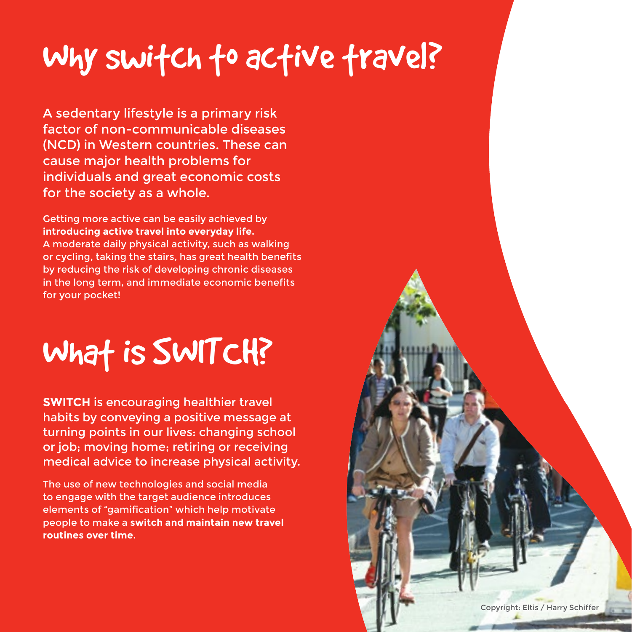### Why switch to active travel?

A sedentary lifestyle is a primary risk factor of non-communicable diseases (NCD) in Western countries. These can cause major health problems for individuals and great economic costs for the society as a whole.

Getting more active can be easily achieved by **introducing active travel into everyday life.** A moderate daily physical activity, such as walking or cycling, taking the stairs, has great health benefits by reducing the risk of developing chronic diseases in the long term, and immediate economic benefits for your pocket!

## What is SWITCH?

**SWITCH** is encouraging healthier travel habits by conveying a positive message at turning points in our lives: changing school or job; moving home; retiring or receiving medical advice to increase physical activity.

The use of new technologies and social media to engage with the target audience introduces elements of "gamification" which help motivate people to make a **switch and maintain new travel routines over time**.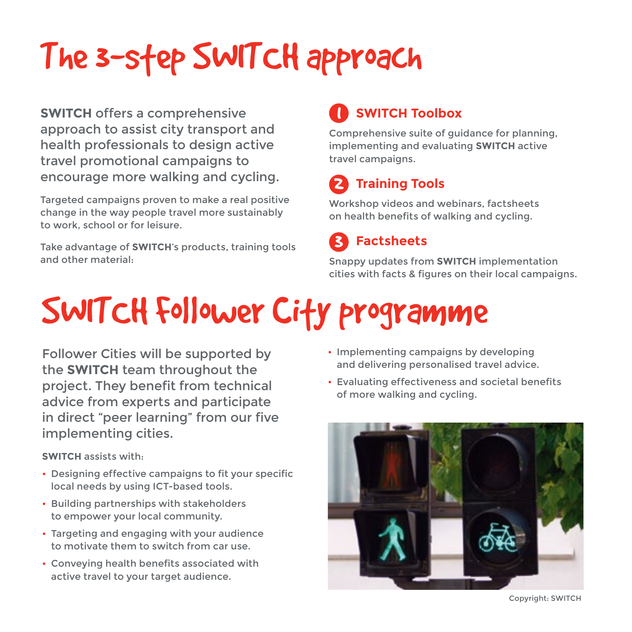# The 3-step SWITCH approach

**SWITCH** offers a comprehensive approach to assist city transport and health professionals to design active travel promotional campaigns to encourage more walking and cycling.

Targeted campaigns proven to make a real positive change in the way people travel more sustainably to work, school or for leisure.

Take advantage of **SWITCH**'s products, training tools and other material:

#### **SWITCH Toolbox** 1

Comprehensive suite of guidance for planning, implementing and evaluating **SWITCH** active travel campaigns.

#### **Training Tools** 2

Workshop videos and webinars, factsheets on health benefits of walking and cycling.

 **Factsheets** 3

Snappy updates from **SWITCH** implementation cities with facts & figures on their local campaigns.

# SWITCH Follower City programme

Follower Cities will be supported by the **SWITCH** team throughout the project. They benefit from technical advice from experts and participate in direct "peer learning" from our five implementing cities.

**SWITCH** assists with:

- Designing effective campaigns to fit your specific local needs by using ICT-based tools.
- Building partnerships with stakeholders to empower your local community.
- Targeting and engaging with your audience to motivate them to switch from car use.
- Conveying health benefits associated with active travel to your target audience.
- Implementing campaigns by developing and delivering personalised travel advice.
- Evaluating effectiveness and societal benefits of more walking and cycling.



Copyright: SWITCH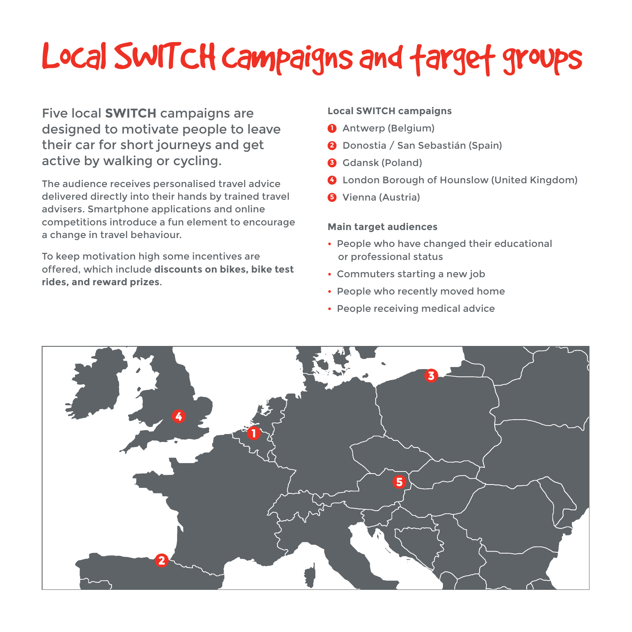# Local SWITCH campaigns and target groups

Five local **SWITCH** campaigns are designed to motivate people to leave their car for short journeys and get active by walking or cycling.

The audience receives personalised travel advice delivered directly into their hands by trained travel advisers. Smartphone applications and online competitions introduce a fun element to encourage a change in travel behaviour.

To keep motivation high some incentives are offered, which include **discounts on bikes, bike test rides, and reward prizes**.

#### **Local SWITCH campaigns**

- **1** Antwerp (Belgium)
- **2** Donostia / San Sebastián (Spain)
- **3** Gdansk (Poland)
- **4** London Borough of Hounslow (United Kingdom)
- **5** Vienna (Austria)

#### **Main target audiences**

- People who have changed their educational or professional status
- Commuters starting a new job
- People who recently moved home
- People receiving medical advice